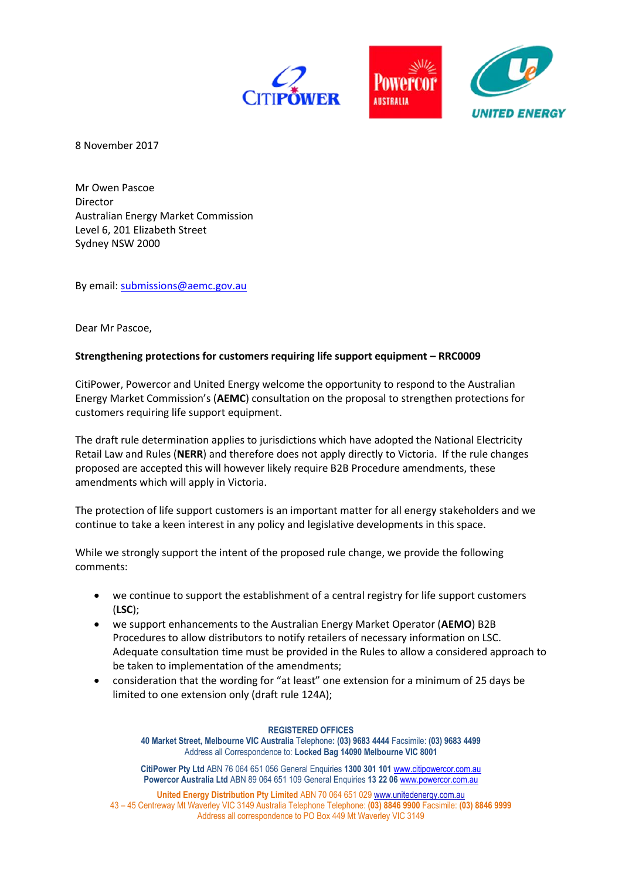



8 November 2017

Mr Owen Pascoe Director Australian Energy Market Commission Level 6, 201 Elizabeth Street Sydney NSW 2000

By email: [submissions@aemc.gov.au](mailto:submissions@aemc.gov.au)

Dear Mr Pascoe,

# **Strengthening protections for customers requiring life support equipment – RRC0009**

CitiPower, Powercor and United Energy welcome the opportunity to respond to the Australian Energy Market Commission's (**AEMC**) consultation on the proposal to strengthen protections for customers requiring life support equipment.

The draft rule determination applies to jurisdictions which have adopted the National Electricity Retail Law and Rules (**NERR**) and therefore does not apply directly to Victoria. If the rule changes proposed are accepted this will however likely require B2B Procedure amendments, these amendments which will apply in Victoria.

The protection of life support customers is an important matter for all energy stakeholders and we continue to take a keen interest in any policy and legislative developments in this space.

While we strongly support the intent of the proposed rule change, we provide the following comments:

- we continue to support the establishment of a central registry for life support customers (**LSC**);
- we support enhancements to the Australian Energy Market Operator (**AEMO**) B2B Procedures to allow distributors to notify retailers of necessary information on LSC. Adequate consultation time must be provided in the Rules to allow a considered approach to be taken to implementation of the amendments;
- consideration that the wording for "at least" one extension for a minimum of 25 days be limited to one extension only (draft rule 124A);

### **REGISTERED OFFICES**

**40 Market Street, Melbourne VIC Australia** Telephone**: (03) 9683 4444** Facsimile: **(03) 9683 4499** Address all Correspondence to: **Locked Bag 14090 Melbourne VIC 8001**

**CitiPower Pty Ltd** ABN 76 064 651 056 General Enquiries **1300 301 101** [www.citipowercor.com.au](http://www.citipowercor.com.au/) **Powercor Australia Ltd** ABN 89 064 651 109 General Enquiries **13 22 06** [www.powercor.com.au](http://www.powercor.com.au/)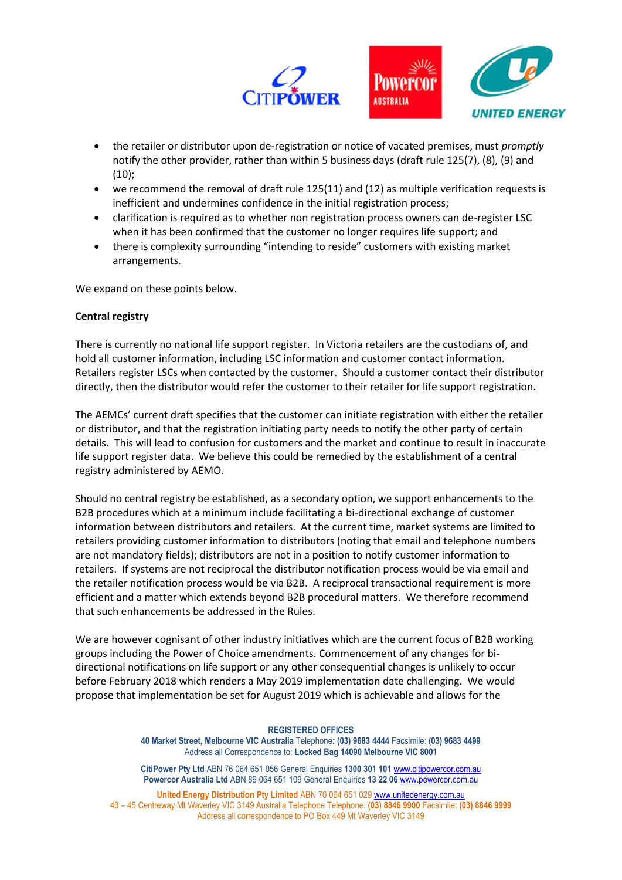

- the retailer or distributor upon de-registration or notice of vacated premises, must *promptly* notify the other provider, rather than within 5 business days (draft rule 125(7), (8), (9) and (10);
- we recommend the removal of draft rule 125(11) and (12) as multiple verification requests is inefficient and undermines confidence in the initial registration process;
- clarification is required as to whether non registration process owners can de-register LSC when it has been confirmed that the customer no longer requires life support; and
- there is complexity surrounding "intending to reside" customers with existing market arrangements.

We expand on these points below.

### **Central registry**

There is currently no national life support register. In Victoria retailers are the custodians of, and hold all customer information, including LSC information and customer contact information. Retailers register LSCs when contacted by the customer. Should a customer contact their distributor directly, then the distributor would refer the customer to their retailer for life support registration.

The AEMCs' current draft specifies that the customer can initiate registration with either the retailer or distributor, and that the registration initiating party needs to notify the other party of certain details. This will lead to confusion for customers and the market and continue to result in inaccurate life support register data. We believe this could be remedied by the establishment of a central registry administered by AEMO.

Should no central registry be established, as a secondary option, we support enhancements to the B2B procedures which at a minimum include facilitating a bi-directional exchange of customer information between distributors and retailers. At the current time, market systems are limited to retailers providing customer information to distributors (noting that email and telephone numbers are not mandatory fields); distributors are not in a position to notify customer information to retailers. If systems are not reciprocal the distributor notification process would be via email and the retailer notification process would be via B2B. A reciprocal transactional requirement is more efficient and a matter which extends beyond B2B procedural matters. We therefore recommend that such enhancements be addressed in the Rules.

We are however cognisant of other industry initiatives which are the current focus of B2B working groups including the Power of Choice amendments. Commencement of any changes for bidirectional notifications on life support or any other consequential changes is unlikely to occur before February 2018 which renders a May 2019 implementation date challenging. We would propose that implementation be set for August 2019 which is achievable and allows for the

#### **REGISTERED OFFICES**

**40 Market Street, Melbourne VIC Australia** Telephone**: (03) 9683 4444** Facsimile: **(03) 9683 4499** Address all Correspondence to: **Locked Bag 14090 Melbourne VIC 8001**

**CitiPower Pty Ltd** ABN 76 064 651 056 General Enquiries **1300 301 101** [www.citipowercor.com.au](http://www.citipowercor.com.au/) **Powercor Australia Ltd** ABN 89 064 651 109 General Enquiries **13 22 06** [www.powercor.com.au](http://www.powercor.com.au/)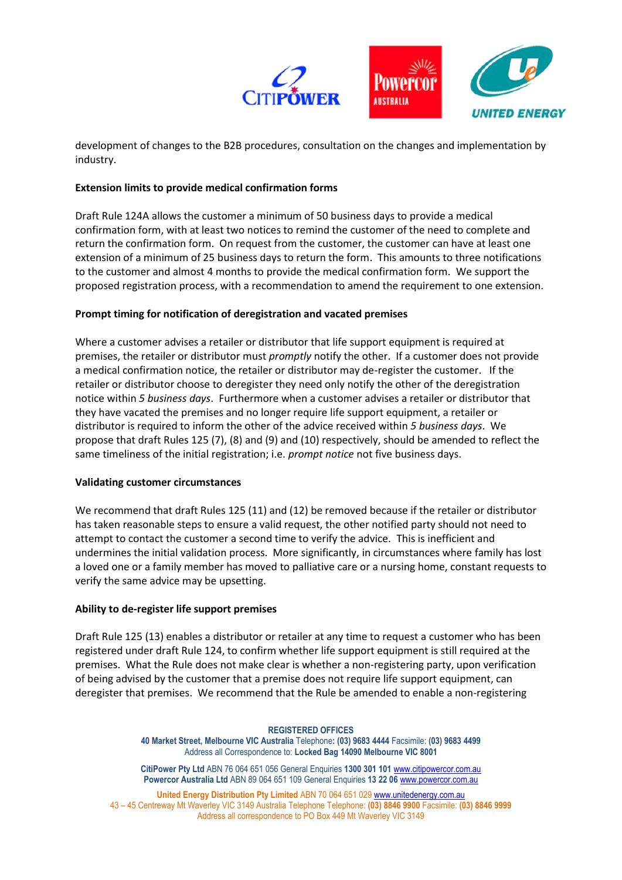

development of changes to the B2B procedures, consultation on the changes and implementation by industry.

# **Extension limits to provide medical confirmation forms**

Draft Rule 124A allows the customer a minimum of 50 business days to provide a medical confirmation form, with at least two notices to remind the customer of the need to complete and return the confirmation form. On request from the customer, the customer can have at least one extension of a minimum of 25 business days to return the form. This amounts to three notifications to the customer and almost 4 months to provide the medical confirmation form. We support the proposed registration process, with a recommendation to amend the requirement to one extension.

# **Prompt timing for notification of deregistration and vacated premises**

Where a customer advises a retailer or distributor that life support equipment is required at premises, the retailer or distributor must *promptly* notify the other. If a customer does not provide a medical confirmation notice, the retailer or distributor may de-register the customer. If the retailer or distributor choose to deregister they need only notify the other of the deregistration notice within *5 business days*. Furthermore when a customer advises a retailer or distributor that they have vacated the premises and no longer require life support equipment, a retailer or distributor is required to inform the other of the advice received within *5 business days*. We propose that draft Rules 125 (7), (8) and (9) and (10) respectively, should be amended to reflect the same timeliness of the initial registration; i.e. *prompt notice* not five business days.

# **Validating customer circumstances**

We recommend that draft Rules 125 (11) and (12) be removed because if the retailer or distributor has taken reasonable steps to ensure a valid request, the other notified party should not need to attempt to contact the customer a second time to verify the advice. This is inefficient and undermines the initial validation process. More significantly, in circumstances where family has lost a loved one or a family member has moved to palliative care or a nursing home, constant requests to verify the same advice may be upsetting.

# **Ability to de-register life support premises**

Draft Rule 125 (13) enables a distributor or retailer at any time to request a customer who has been registered under draft Rule 124, to confirm whether life support equipment is still required at the premises. What the Rule does not make clear is whether a non-registering party, upon verification of being advised by the customer that a premise does not require life support equipment, can deregister that premises. We recommend that the Rule be amended to enable a non-registering

#### **REGISTERED OFFICES**

**40 Market Street, Melbourne VIC Australia** Telephone**: (03) 9683 4444** Facsimile: **(03) 9683 4499** Address all Correspondence to: **Locked Bag 14090 Melbourne VIC 8001**

**CitiPower Pty Ltd** ABN 76 064 651 056 General Enquiries **1300 301 101** [www.citipowercor.com.au](http://www.citipowercor.com.au/) **Powercor Australia Ltd** ABN 89 064 651 109 General Enquiries **13 22 06** [www.powercor.com.au](http://www.powercor.com.au/)